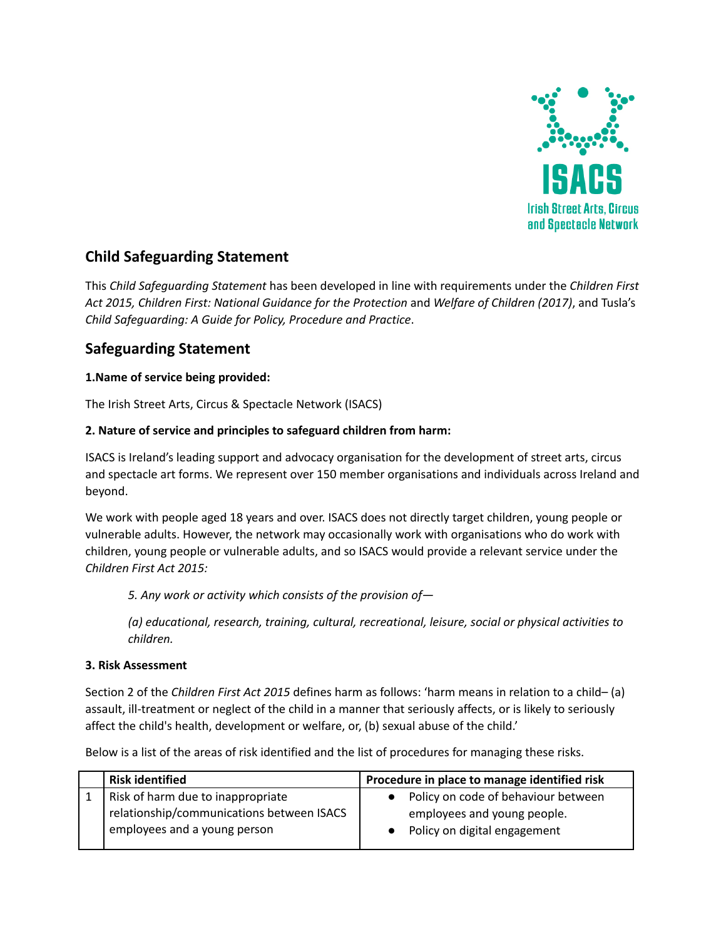

# **Child Safeguarding Statement**

This *Child Safeguarding Statement* has been developed in line with requirements under the *Children First Act 2015, Children First: National Guidance for the Protection* and *Welfare of Children (2017)*, and Tusla's *Child Safeguarding: A Guide for Policy, Procedure and Practice*.

## **Safeguarding Statement**

## **1.Name of service being provided:**

The Irish Street Arts, Circus & Spectacle Network (ISACS)

#### **2. Nature of service and principles to safeguard children from harm:**

ISACS is Ireland's leading support and advocacy organisation for the development of street arts, circus and spectacle art forms. We represent over 150 member organisations and individuals across Ireland and beyond.

We work with people aged 18 years and over. ISACS does not directly target children, young people or vulnerable adults. However, the network may occasionally work with organisations who do work with children, young people or vulnerable adults, and so ISACS would provide a relevant service under the *Children First Act 2015:*

*5. Any work or activity which consists of the provision of—*

*(a) educational, research, training, cultural, recreational, leisure, social or physical activities to children.*

#### **3. Risk Assessment**

Section 2 of the *Children First Act 2015* defines harm as follows: 'harm means in relation to a child– (a) assault, ill-treatment or neglect of the child in a manner that seriously affects, or is likely to seriously affect the child's health, development or welfare, or, (b) sexual abuse of the child.'

Below is a list of the areas of risk identified and the list of procedures for managing these risks.

| <b>Risk identified</b>                                                                                         | Procedure in place to manage identified risk                                                       |
|----------------------------------------------------------------------------------------------------------------|----------------------------------------------------------------------------------------------------|
| Risk of harm due to inappropriate<br>relationship/communications between ISACS<br>employees and a young person | Policy on code of behaviour between<br>employees and young people.<br>Policy on digital engagement |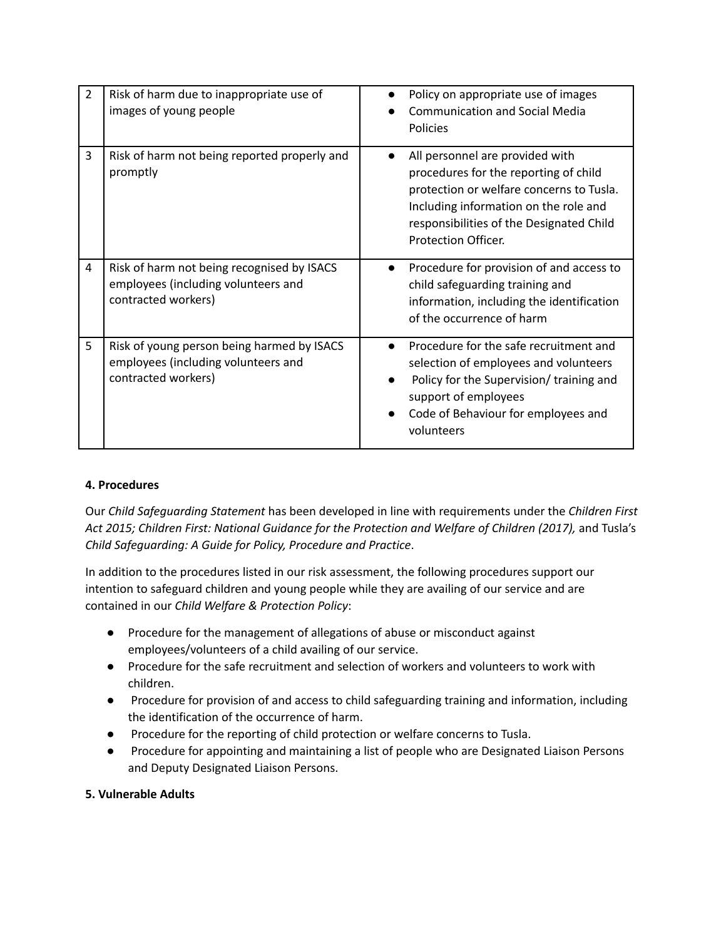| $\overline{2}$ | Risk of harm due to inappropriate use of<br>images of young people                                       | Policy on appropriate use of images<br><b>Communication and Social Media</b><br>Policies                                                                                                                                                      |
|----------------|----------------------------------------------------------------------------------------------------------|-----------------------------------------------------------------------------------------------------------------------------------------------------------------------------------------------------------------------------------------------|
| 3              | Risk of harm not being reported properly and<br>promptly                                                 | All personnel are provided with<br>$\bullet$<br>procedures for the reporting of child<br>protection or welfare concerns to Tusla.<br>Including information on the role and<br>responsibilities of the Designated Child<br>Protection Officer. |
| 4              | Risk of harm not being recognised by ISACS<br>employees (including volunteers and<br>contracted workers) | Procedure for provision of and access to<br>child safeguarding training and<br>information, including the identification<br>of the occurrence of harm                                                                                         |
| 5              | Risk of young person being harmed by ISACS<br>employees (including volunteers and<br>contracted workers) | Procedure for the safe recruitment and<br>$\bullet$<br>selection of employees and volunteers<br>Policy for the Supervision/ training and<br>support of employees<br>Code of Behaviour for employees and<br>volunteers                         |

## **4. Procedures**

Our *Child Safeguarding Statement* has been developed in line with requirements under the *Children First Act 2015; Children First: National Guidance for the Protection and Welfare of Children (2017),* and Tusla's *Child Safeguarding: A Guide for Policy, Procedure and Practice*.

In addition to the procedures listed in our risk assessment, the following procedures support our intention to safeguard children and young people while they are availing of our service and are contained in our *Child Welfare & Protection Policy*:

- Procedure for the management of allegations of abuse or misconduct against employees/volunteers of a child availing of our service.
- Procedure for the safe recruitment and selection of workers and volunteers to work with children.
- Procedure for provision of and access to child safeguarding training and information, including the identification of the occurrence of harm.
- Procedure for the reporting of child protection or welfare concerns to Tusla.
- Procedure for appointing and maintaining a list of people who are Designated Liaison Persons and Deputy Designated Liaison Persons.

#### **5. Vulnerable Adults**